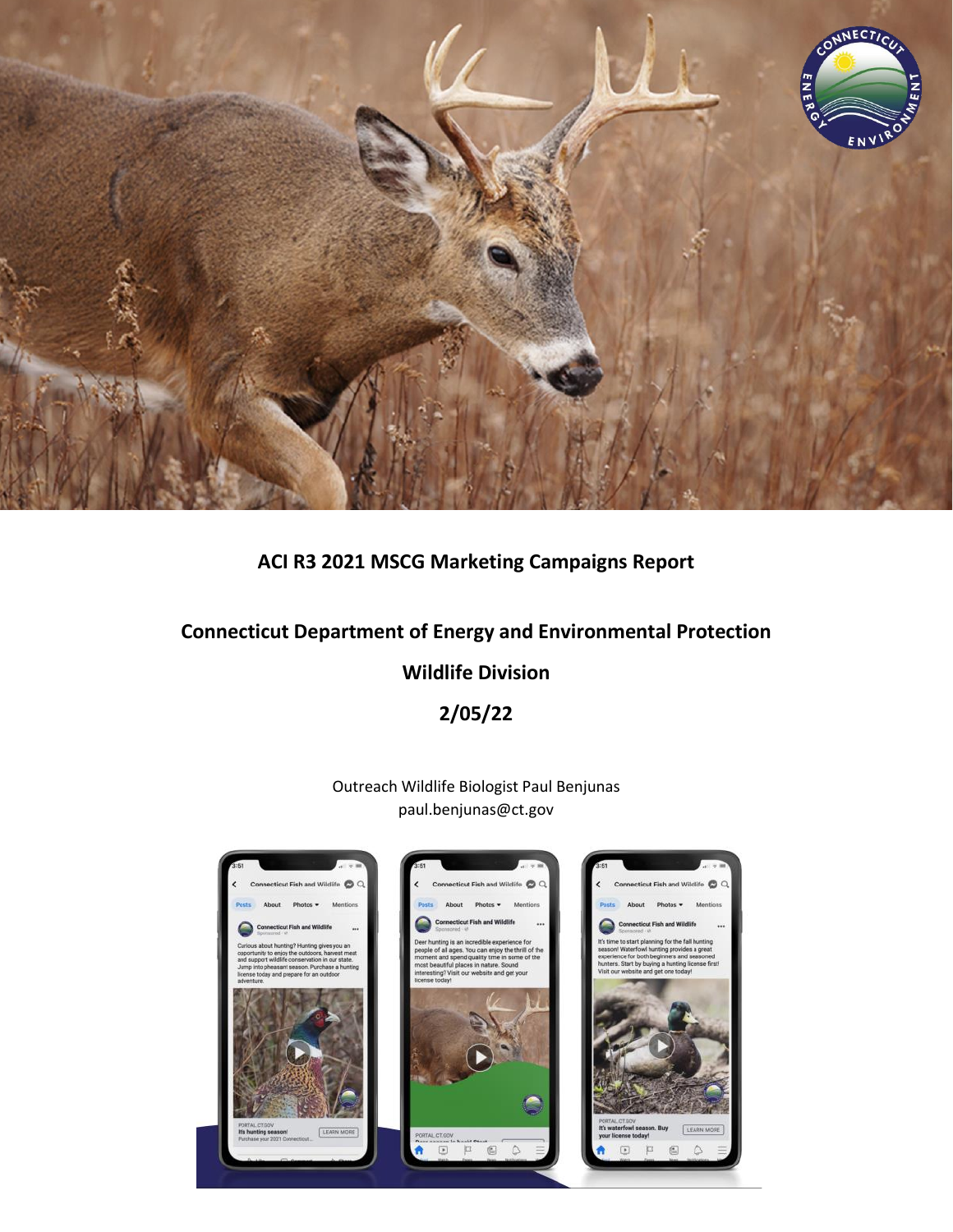

# **ACI R3 2021 MSCG Marketing Campaigns Report**

# **Connecticut Department of Energy and Environmental Protection**

### **Wildlife Division**

**2/05/22**

Outreach Wildlife Biologist Paul Benjunas paul.benjunas@ct.gov

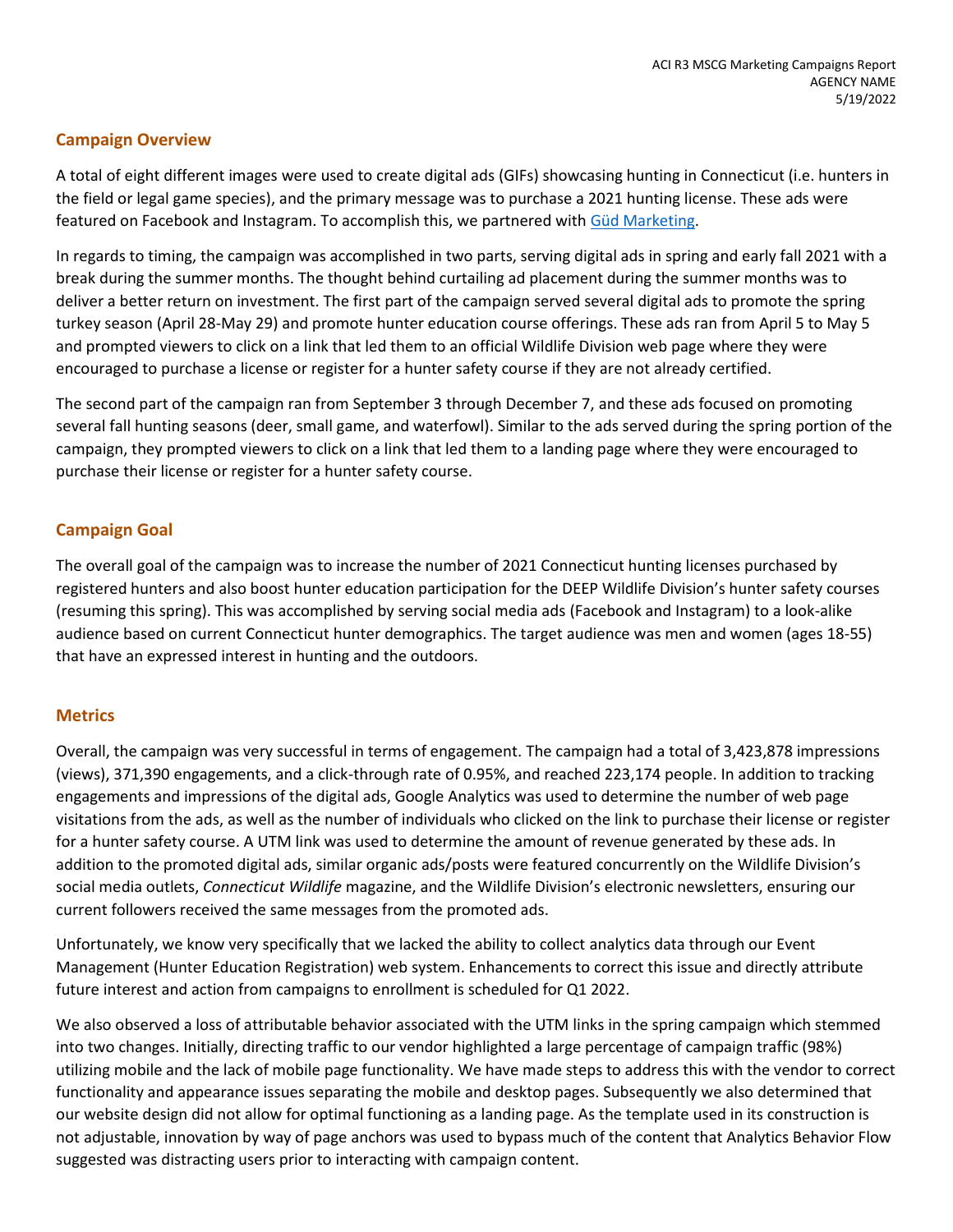#### **Campaign Overview**

A total of eight different images were used to create digital ads (GIFs) showcasing hunting in Connecticut (i.e. hunters in the field or legal game species), and the primary message was to purchase a 2021 hunting license. These ads were featured on Facebook and Instagram. To accomplish this, we partnered with [Güd Marketing.](https://gudmarketing.com/)

In regards to timing, the campaign was accomplished in two parts, serving digital ads in spring and early fall 2021 with a break during the summer months. The thought behind curtailing ad placement during the summer months was to deliver a better return on investment. The first part of the campaign served several digital ads to promote the spring turkey season (April 28-May 29) and promote hunter education course offerings. These ads ran from April 5 to May 5 and prompted viewers to click on a link that led them to an official Wildlife Division web page where they were encouraged to purchase a license or register for a hunter safety course if they are not already certified.

The second part of the campaign ran from September 3 through December 7, and these ads focused on promoting several fall hunting seasons (deer, small game, and waterfowl). Similar to the ads served during the spring portion of the campaign, they prompted viewers to click on a link that led them to a landing page where they were encouraged to purchase their license or register for a hunter safety course.

#### **Campaign Goal**

The overall goal of the campaign was to increase the number of 2021 Connecticut hunting licenses purchased by registered hunters and also boost hunter education participation for the DEEP Wildlife Division's hunter safety courses (resuming this spring). This was accomplished by serving social media ads (Facebook and Instagram) to a look-alike audience based on current Connecticut hunter demographics. The target audience was men and women (ages 18-55) that have an expressed interest in hunting and the outdoors.

#### **Metrics**

Overall, the campaign was very successful in terms of engagement. The campaign had a total of 3,423,878 impressions (views), 371,390 engagements, and a click-through rate of 0.95%, and reached 223,174 people. In addition to tracking engagements and impressions of the digital ads, Google Analytics was used to determine the number of web page visitations from the ads, as well as the number of individuals who clicked on the link to purchase their license or register for a hunter safety course. A UTM link was used to determine the amount of revenue generated by these ads. In addition to the promoted digital ads, similar organic ads/posts were featured concurrently on the Wildlife Division's social media outlets, *Connecticut Wildlife* magazine, and the Wildlife Division's electronic newsletters, ensuring our current followers received the same messages from the promoted ads.

Unfortunately, we know very specifically that we lacked the ability to collect analytics data through our Event Management (Hunter Education Registration) web system. Enhancements to correct this issue and directly attribute future interest and action from campaigns to enrollment is scheduled for Q1 2022.

We also observed a loss of attributable behavior associated with the UTM links in the spring campaign which stemmed into two changes. Initially, directing traffic to our vendor highlighted a large percentage of campaign traffic (98%) utilizing mobile and the lack of mobile page functionality. We have made steps to address this with the vendor to correct functionality and appearance issues separating the mobile and desktop pages. Subsequently we also determined that our website design did not allow for optimal functioning as a landing page. As the template used in its construction is not adjustable, innovation by way of page anchors was used to bypass much of the content that Analytics Behavior Flow suggested was distracting users prior to interacting with campaign content.